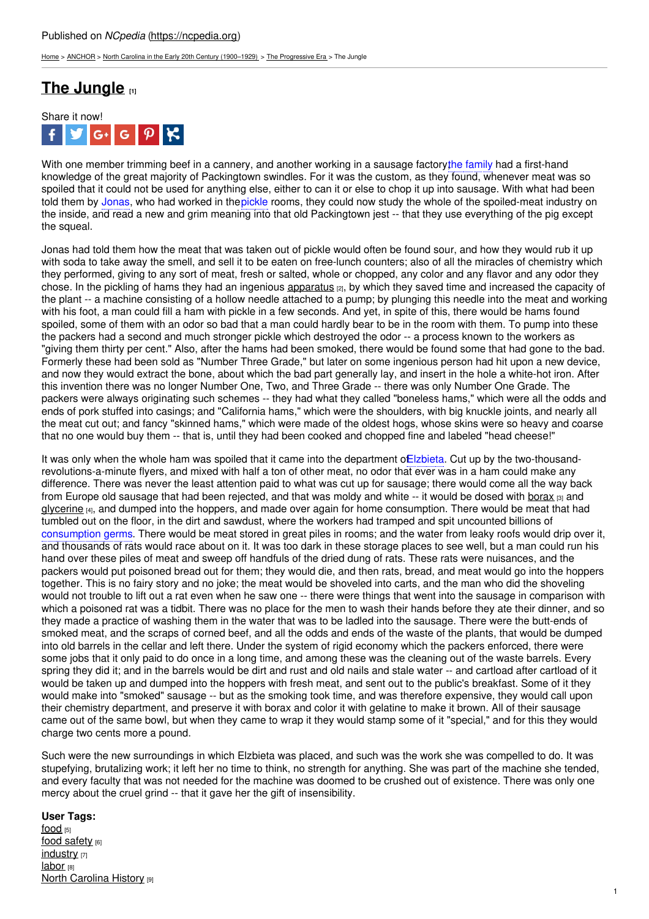[Home](https://ncpedia.org/) > [ANCHOR](https://ncpedia.org/anchor/anchor) > North Carolina in the Early 20th Century [\(1900–1929\)](https://ncpedia.org/anchor/north-carolina-early-20th) > The [Progressive](https://ncpedia.org/anchor/progressive-era) Era > The Jungle

## **The [Jungle](https://ncpedia.org/anchor/jungle) [1]**



With one member trimming beef in a cannery, and another working in a sausage factory the family had a first-hand knowledge of the great majority of Packingtown swindles. For it was the custom, as they found, whenever meat was so spoiled that it could not be used for anything else, either to can it or else to chop it up into sausage. With what had been told them by Jonas, who had worked in thepickle rooms, they could now study the whole of the spoiled-meat industry on the inside, and read a new and grim meaning into that old Packingtown jest -- that they use everything of the pig except the squeal.

Jonas had told them how the meat that was taken out of pickle would often be found sour, and how they would rub it up with soda to take away the smell, and sell it to be eaten on free-lunch counters; also of all the miracles of chemistry which they performed, giving to any sort of meat, fresh or salted, whole or chopped, any color and any flavor and any odor they chose. In the pickling of hams they had an [ingenious](http://www.social9.com) [apparatus](https://ncpedia.org/glossary/apparatus) [2], by which they saved time and increased the capacity of the plant -- a machine consisting of a hollow needle attached to a pump; by plunging this needle into the meat and working with his foot, a man could fill a ham with pickle in a few seconds. And yet, in spite of this, there would be hams found spoiled, some of them with an odor so bad that a man could hardly bear to be in the room with them. To pump into these the packers had a second and much stronger pickle which destroyed the odor -- a process known to the workers as "giving them thirty per cent." Also, after the hams had been smoked, there would be found some that had gone to the bad. Formerly these had been sold as "Number Three Grade," but later on some ingenious person had hit upon a new device, and now they would extract the bone, about which the bad part generally lay, and insert in the hole a white-hot iron. After this invention there was no longer Number One, Two, and Three Grade -- there was only Number One Grade. The packers were always originating such schemes -- they had what they called "boneless hams," which were all the odds and ends of pork stuffed into casings; and "California hams," which were the shoulders, with big knuckle joints, and nearly all the meat cut out; and fancy "skinned hams," which were made of the oldest hogs, whose skins were so heavy and coarse that no one would buy them -- that is, until they had been cooked and chopped fine and labeled "head cheese!"

It was only when the whole ham was spoiled that it came into the department o**Elzbieta**. Cut up by the two-thousandrevolutions-a-minute flyers, and mixed with half a ton of other meat, no odor that ever was in a ham could make any difference. There was never the least attention paid to what was cut up for sausage; there would come all the way back from Europe old sausage that had been rejected, and that was moldy and white -- it would be dosed with [borax](https://ncpedia.org/glossary/borax) [3] and [glycerine](https://ncpedia.org/glossary/glycerol) [4], and dumped into the hoppers, and made over again for home consumption. There would be meat that had tumbled out on the floor, in the dirt and sawdust, where the workers had tramped and spit uncounted billions of consumption germs. There would be meat stored in great piles in rooms; and the water from leaky roofs would drip over it, and thousands of rats would race about on it. It was too dark in these storage places to see well, but a man could run his hand over these piles of meat and sweep off handfuls of the dried dung of rats. These rats were nuisances, and the packers would put poisoned bread out for them; they would die, and then rats, bread, and meat would go into the hoppers together. This is no fairy story and no joke; the meat would be shoveled into carts, and the man who did the shoveling would not trouble to lift out a rat even when he saw one -- there were things that went into the sausage in comparison with which a poisoned rat was a tidbit. There was no place for the men to wash their hands before they ate their dinner, and so they made a practice of washing them in the water that was to be ladled into the sausage. There were the butt-ends of smoked meat, and the scraps of corned beef, and all the odds and ends of the waste of the plants, that would be dumped into old barrels in the cellar and left there. Under the system of rigid economy which the packers enforced, there were some jobs that it only paid to do once in a long time, and among these was the cleaning out of the waste barrels. Every spring they did it; and in the barrels would be dirt and rust and old nails and stale water -- and cartload after cartload of it would be taken up and dumped into the hoppers with fresh meat, and sent out to the public's breakfast. Some of it they would make into "smoked" sausage -- but as the smoking took time, and was therefore expensive, they would call upon their chemistry department, and preserve it with borax and color it with gelatine to make it brown. All of their sausage came out of the same bowl, but when they came to wrap it they would stamp some of it "special," and for this they would charge two cents more a pound.

Such were the new surroundings in which Elzbieta was placed, and such was the work she was compelled to do. It was stupefying, brutalizing work; it left her no time to think, no strength for anything. She was part of the machine she tended, and every faculty that was not needed for the machine was doomed to be crushed out of existence. There was only one mercy about the cruel grind -- that it gave her the gift of insensibility.

## **User Tags:**

[food](https://ncpedia.org/category/user-tags/food) [5] food [safety](https://ncpedia.org/category/user-tags/food-safety) [6] [industry](https://ncpedia.org/category/user-tags/industry) [7] **[labor](https://ncpedia.org/category/user-tags/labor)** [8] **North [Carolina](https://ncpedia.org/category/user-tags/north-carolina-6) History [9]**